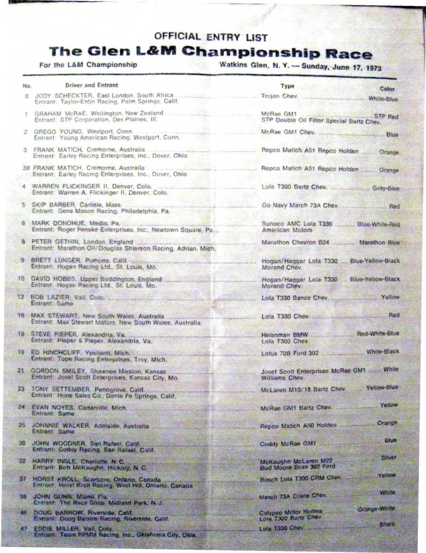### OFFICIAL ENTRY LIST

# The Glen L&M Championship Race

#### For the L&M Championship

### Watkins Glen, N.Y. - Sunday, June 17, 1973

| No.      | <b>Driver and Entrant</b>                                                                             | Type<br>Color                                                            |
|----------|-------------------------------------------------------------------------------------------------------|--------------------------------------------------------------------------|
| $\Omega$ | JODY SCHECKTER, East London, South Africa<br>Entrant: Taylor-Entin Racing, Palm Springs, Calif.       | Trojan Chev.<br>White-Blue                                               |
|          | GRAHAM McRAE, Wellington, New Zealand<br>Entrant: STP Corporation, Des Plaines, Ill.                  | McRae GM1<br><b>STP Red</b><br>STP Double Oil Filter Special Bartz Chev. |
|          | GREGG YOUNG, Westport, Conn.<br>Entrant: Young American Racing, Westport, Conn.                       | McRae GM1 Chev.<br>Blue                                                  |
|          | 3 FRANK MATICH, Cremorne, Australia<br>Entrant: Earley Racing Enterprises, Inc., Dover, Ohio          | Repco Matich A51 Repco Holden<br>Orange                                  |
|          | 3X FRANK MATICH, Cremorne, Australia<br>Entrant: Earley Racing Enterprises, Inc., Dover, Ohio         | Repco Matich A51 Repco Holden<br>Orange                                  |
|          | 4 WARREN FLICKINGER II, Denver, Colo.<br>Entrant: Warren A. Flickinger II. Denver, Colo.              | Lola T300 Bartz Chev.<br>Gray-Blue                                       |
|          | 5 SKIP BARBER, Carlisle, Mass.<br>Entrant: Gene Mason Racing, Philadelphia, Pa.                       | Go Navy March 73A Chev.<br>Red                                           |
|          | 6 MARK DONOHUE, Media, Pa.<br>Entrant: Roger Penske Enterprises, Inc., Newtown Square, Pa.,           | Sunoco AMC Lola T330<br>Blue-White-Red<br>American Motors                |
|          | 8 PETER GETHIN, London, England<br>Entrant: Marathon Oil/Douglas Shierson Racing, Adrian, Mich.       | Marathon Chevron B24<br>Marathon Blue                                    |
|          | 9 BRETT LUNGER, Pomona, Calif.<br>Entrant: Hogan Racing Ltd., St. Louis, Mo.                          | Blue-Yellow-Black<br>Hogan/Haggar Lola T330<br>Morand Chev.              |
|          | 10 DAVID HOBBS, Upper Boddington, England<br>Entrant: Hogan Racing Ltd., St. Louis, Mo.               | Blue-Yellow-Black<br>Hogan/Haggar Lola T330<br>Morand Chev.              |
|          | 12 BOB LAZIER, Vail Colo.<br>Entrant: Same                                                            | Yellow<br>Lola T330 Bance Chev.                                          |
|          | 16 MAX STEWART, New South Wales, Australia<br>Entrant: Max Stewart Motors, New South Wales, Australia | Red<br>Lola T330 Chev.                                                   |
|          | 18 STEVE PIEPER. Alexandria, Va.<br>Entrant: Pieper & Pieper, Alexandria, Va.                         | Red-White-Blue<br>Heisnman BMW<br>Lola T300 Chev.                        |
|          | 19 ED HINCHCLIFF, Ypsilanti, Mich.<br>Entrant: Tope Racing Enterprises, Troy, Mich.                   | White-Black<br>Lotus 70B Ford 302                                        |
|          | 21 GORDON SMILEY, Shawnee Mission, Kansas<br>Entrant: Josef Scott Enterprises, Kansas City, Mo.       | White<br>Josef Scott Enterprises McRae GM1<br>Williams Chev.             |
|          | 23 TONY SETTEMBER, Penngrove, Calif.<br>Entrant: Hone Sales Co., Dante Fe Springs, Calif.             | Yellow-Blue<br>McLaren M10/18 Bartz Chev.                                |
|          | 24 EVAN NOYES, Cedarville, Mich.<br>Entrant: Same                                                     | Yellow<br>McRae GM1 Bartz Chev.                                          |
|          | 25 JOHNNIE WALKER, Adelaide, Australia<br>Entrant: Same                                               | Orange<br>Repco Matich ASO Holden                                        |
| 30       | JOHN WOODNER, San Rafael, Calif.<br>Entrant: Cuddy Racing, San Rafael, Calif.                         | Blue<br>Cuddy McRae GM1                                                  |
|          | 32 HARRY INGLE, Charlotte, N.C.<br>Entrant: Bob McKaughn, Hickory, N.C.                               | Silver<br>McKaughn McLaren M22<br><b>Bud Moore Boss 302 Ford</b>         |
| 37       | HORST KROLL, Scarboro, Ontario, Canada<br>Entrant: Horst Kroll Racing, West Hill, Ontario, Canada     | Yetiow<br>Bosch Loia T300 CRM Chev.                                      |
| 39       | JOHN GUNN, Miami, Fla.<br>Entrant: The Race Shop, Midland Park, N.J.                                  | <b>White</b><br>March 73A Crane Chev.                                    |
|          | 46 DOUG BARROW, Riverside, Calif.<br>Entrant: Doug Barrow Racing, Riverside, Calif.                   | <b>Orange-White</b><br>Catypso Motor Homes<br>Lota T300 Bartz Chev       |
|          | 47 EDDIE MILLER, Vail, Colo.                                                                          | <b>Biskin</b><br>Lola T330 Chev                                          |